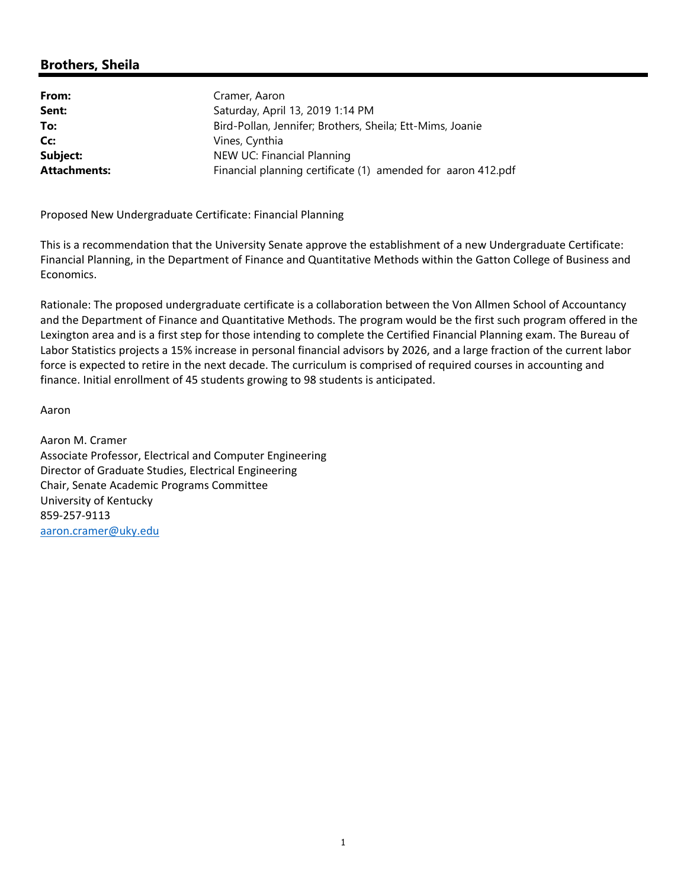## **Brothers, Sheila**

| From:               | Cramer, Aaron                                                |
|---------------------|--------------------------------------------------------------|
| Sent:               | Saturday, April 13, 2019 1:14 PM                             |
| To:                 | Bird-Pollan, Jennifer; Brothers, Sheila; Ett-Mims, Joanie    |
| Cc:                 | Vines, Cynthia                                               |
| Subject:            | NEW UC: Financial Planning                                   |
| <b>Attachments:</b> | Financial planning certificate (1) amended for aaron 412.pdf |

Proposed New Undergraduate Certificate: Financial Planning

This is a recommendation that the University Senate approve the establishment of a new Undergraduate Certificate: Financial Planning, in the Department of Finance and Quantitative Methods within the Gatton College of Business and Economics.

Rationale: The proposed undergraduate certificate is a collaboration between the Von Allmen School of Accountancy and the Department of Finance and Quantitative Methods. The program would be the first such program offered in the Lexington area and is a first step for those intending to complete the Certified Financial Planning exam. The Bureau of Labor Statistics projects a 15% increase in personal financial advisors by 2026, and a large fraction of the current labor force is expected to retire in the next decade. The curriculum is comprised of required courses in accounting and finance. Initial enrollment of 45 students growing to 98 students is anticipated.

Aaron

Aaron M. Cramer Associate Professor, Electrical and Computer Engineering Director of Graduate Studies, Electrical Engineering Chair, Senate Academic Programs Committee University of Kentucky 859‐257‐9113 aaron.cramer@uky.edu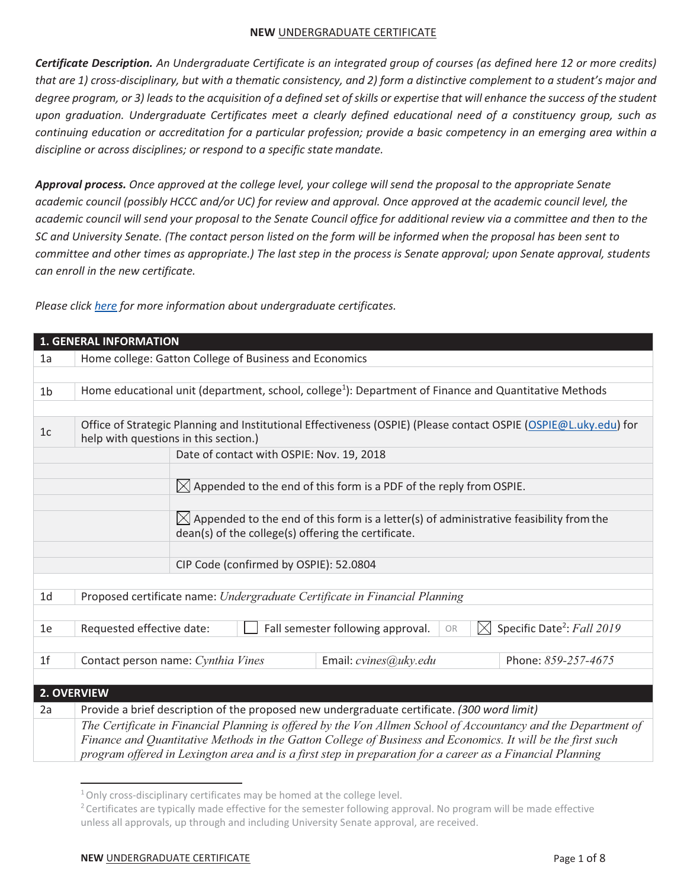*Certificate Description. An Undergraduate Certificate is an integrated group of courses (as defined here 12 or more credits) that are 1) cross-disciplinary, but with a thematic consistency, and 2) form a distinctive complement to a student's major and degree program, or 3) leads to the acquisition of a defined set of skills or expertise that will enhance the success of the student upon graduation. Undergraduate Certificates meet a clearly defined educational need of a constituency group, such as continuing education or accreditation for a particular profession; provide a basic competency in an emerging area within a discipline or across disciplines; or respond to a specific state mandate.* 

*Approval process. Once approved at the college level, your college will send the proposal to the appropriate Senate academic council (possibly HCCC and/or UC) for review and approval. Once approved at the academic council level, the academic council will send your proposal to the Senate Council office for additional review via a committee and then to the SC and University Senate. (The contact person listed on the form will be informed when the proposal has been sent to committee and other times as appropriate.) The last step in the process is Senate approval; upon Senate approval, students can enroll in the new certificate.* 

*Please click here for more information about undergraduate certificates.* 

|                | <b>1. GENERAL INFORMATION</b>                                                                                                                             |
|----------------|-----------------------------------------------------------------------------------------------------------------------------------------------------------|
| 1a             | Home college: Gatton College of Business and Economics                                                                                                    |
|                |                                                                                                                                                           |
| 1 <sub>b</sub> | Home educational unit (department, school, college <sup>1</sup> ): Department of Finance and Quantitative Methods                                         |
|                |                                                                                                                                                           |
| 1 <sub>c</sub> | Office of Strategic Planning and Institutional Effectiveness (OSPIE) (Please contact OSPIE (OSPIE@L.uky.edu) for<br>help with questions in this section.) |
|                | Date of contact with OSPIE: Nov. 19, 2018                                                                                                                 |
|                |                                                                                                                                                           |
|                | $\boxtimes$ Appended to the end of this form is a PDF of the reply from OSPIE.                                                                            |
|                |                                                                                                                                                           |
|                | $\boxtimes$ Appended to the end of this form is a letter(s) of administrative feasibility from the                                                        |
|                | dean(s) of the college(s) offering the certificate.                                                                                                       |
|                | CIP Code (confirmed by OSPIE): 52.0804                                                                                                                    |
|                |                                                                                                                                                           |
| 1 <sub>d</sub> | Proposed certificate name: Undergraduate Certificate in Financial Planning                                                                                |
|                |                                                                                                                                                           |
| 1e             | Specific Date <sup>2</sup> : Fall 2019<br>Fall semester following approval.<br>Requested effective date:<br>$\times$<br>OR                                |
|                |                                                                                                                                                           |
| 1 <sub>f</sub> | Phone: 859-257-4675<br>Contact person name: Cynthia Vines<br>Email: cvines@uky.edu                                                                        |
|                |                                                                                                                                                           |
| 2. OVERVIEW    |                                                                                                                                                           |
| 2a             | Provide a brief description of the proposed new undergraduate certificate. (300 word limit)                                                               |
|                | The Certificate in Financial Planning is offered by the Von Allmen School of Accountancy and the Department of                                            |
|                | Finance and Quantitative Methods in the Gatton College of Business and Economics. It will be the first such                                               |
|                | program offered in Lexington area and is a first step in preparation for a career as a Financial Planning                                                 |

 $1$  Only cross-disciplinary certificates may be homed at the college level.

<sup>&</sup>lt;sup>2</sup> Certificates are typically made effective for the semester following approval. No program will be made effective unless all approvals, up through and including University Senate approval, are received.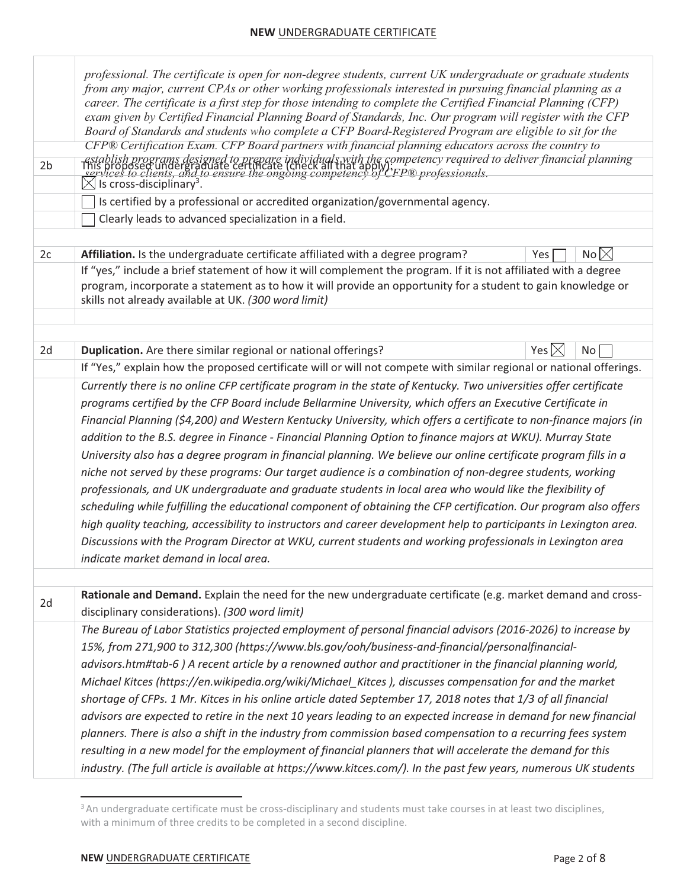| 2 <sub>b</sub> | professional. The certificate is open for non-degree students, current UK undergraduate or graduate students<br>from any major, current CPAs or other working professionals interested in pursuing financial planning as a<br>career. The certificate is a first step for those intending to complete the Certified Financial Planning (CFP)<br>exam given by Certified Financial Planning Board of Standards, Inc. Our program will register with the CFP<br>Board of Standards and students who complete a CFP Board-Registered Program are eligible to sit for the<br>CFP® Certification Exam. CFP Board partners with financial planning educators across the country to<br>-establish programs designed to prepare individuals with the competency required to deliver financial planning<br>This proposed undergraduate certificate (check all that apply)<br>Sallaces to clients, and to ensure the ongoing c<br>$\boxtimes$<br>$\frac{1}{2}$ is cross-disciplinary <sup>3</sup> .<br>Is certified by a professional or accredited organization/governmental agency.<br>Clearly leads to advanced specialization in a field. |              |                 |  |
|----------------|-------------------------------------------------------------------------------------------------------------------------------------------------------------------------------------------------------------------------------------------------------------------------------------------------------------------------------------------------------------------------------------------------------------------------------------------------------------------------------------------------------------------------------------------------------------------------------------------------------------------------------------------------------------------------------------------------------------------------------------------------------------------------------------------------------------------------------------------------------------------------------------------------------------------------------------------------------------------------------------------------------------------------------------------------------------------------------------------------------------------------------------|--------------|-----------------|--|
| 2c             | Affiliation. Is the undergraduate certificate affiliated with a degree program?                                                                                                                                                                                                                                                                                                                                                                                                                                                                                                                                                                                                                                                                                                                                                                                                                                                                                                                                                                                                                                                     | Yes          | No $\times$     |  |
|                | If "yes," include a brief statement of how it will complement the program. If it is not affiliated with a degree                                                                                                                                                                                                                                                                                                                                                                                                                                                                                                                                                                                                                                                                                                                                                                                                                                                                                                                                                                                                                    |              |                 |  |
|                | program, incorporate a statement as to how it will provide an opportunity for a student to gain knowledge or<br>skills not already available at UK. (300 word limit)                                                                                                                                                                                                                                                                                                                                                                                                                                                                                                                                                                                                                                                                                                                                                                                                                                                                                                                                                                |              |                 |  |
|                |                                                                                                                                                                                                                                                                                                                                                                                                                                                                                                                                                                                                                                                                                                                                                                                                                                                                                                                                                                                                                                                                                                                                     |              |                 |  |
| 2d             | Duplication. Are there similar regional or national offerings?                                                                                                                                                                                                                                                                                                                                                                                                                                                                                                                                                                                                                                                                                                                                                                                                                                                                                                                                                                                                                                                                      | Yes $\times$ | No <sub>1</sub> |  |
|                | If "Yes," explain how the proposed certificate will or will not compete with similar regional or national offerings.                                                                                                                                                                                                                                                                                                                                                                                                                                                                                                                                                                                                                                                                                                                                                                                                                                                                                                                                                                                                                |              |                 |  |
|                | Currently there is no online CFP certificate program in the state of Kentucky. Two universities offer certificate                                                                                                                                                                                                                                                                                                                                                                                                                                                                                                                                                                                                                                                                                                                                                                                                                                                                                                                                                                                                                   |              |                 |  |
|                | programs certified by the CFP Board include Bellarmine University, which offers an Executive Certificate in                                                                                                                                                                                                                                                                                                                                                                                                                                                                                                                                                                                                                                                                                                                                                                                                                                                                                                                                                                                                                         |              |                 |  |
|                | Financial Planning (\$4,200) and Western Kentucky University, which offers a certificate to non-finance majors (in                                                                                                                                                                                                                                                                                                                                                                                                                                                                                                                                                                                                                                                                                                                                                                                                                                                                                                                                                                                                                  |              |                 |  |
|                | addition to the B.S. degree in Finance - Financial Planning Option to finance majors at WKU). Murray State                                                                                                                                                                                                                                                                                                                                                                                                                                                                                                                                                                                                                                                                                                                                                                                                                                                                                                                                                                                                                          |              |                 |  |
|                | University also has a degree program in financial planning. We believe our online certificate program fills in a                                                                                                                                                                                                                                                                                                                                                                                                                                                                                                                                                                                                                                                                                                                                                                                                                                                                                                                                                                                                                    |              |                 |  |
|                | niche not served by these programs: Our target audience is a combination of non-degree students, working<br>professionals, and UK undergraduate and graduate students in local area who would like the flexibility of                                                                                                                                                                                                                                                                                                                                                                                                                                                                                                                                                                                                                                                                                                                                                                                                                                                                                                               |              |                 |  |
|                | scheduling while fulfilling the educational component of obtaining the CFP certification. Our program also offers                                                                                                                                                                                                                                                                                                                                                                                                                                                                                                                                                                                                                                                                                                                                                                                                                                                                                                                                                                                                                   |              |                 |  |
|                | high quality teaching, accessibility to instructors and career development help to participants in Lexington area.                                                                                                                                                                                                                                                                                                                                                                                                                                                                                                                                                                                                                                                                                                                                                                                                                                                                                                                                                                                                                  |              |                 |  |
|                | Discussions with the Program Director at WKU, current students and working professionals in Lexington area                                                                                                                                                                                                                                                                                                                                                                                                                                                                                                                                                                                                                                                                                                                                                                                                                                                                                                                                                                                                                          |              |                 |  |
|                | indicate market demand in local area.                                                                                                                                                                                                                                                                                                                                                                                                                                                                                                                                                                                                                                                                                                                                                                                                                                                                                                                                                                                                                                                                                               |              |                 |  |
|                |                                                                                                                                                                                                                                                                                                                                                                                                                                                                                                                                                                                                                                                                                                                                                                                                                                                                                                                                                                                                                                                                                                                                     |              |                 |  |
| 2d             | Rationale and Demand. Explain the need for the new undergraduate certificate (e.g. market demand and cross-<br>disciplinary considerations). (300 word limit)                                                                                                                                                                                                                                                                                                                                                                                                                                                                                                                                                                                                                                                                                                                                                                                                                                                                                                                                                                       |              |                 |  |
|                | The Bureau of Labor Statistics projected employment of personal financial advisors (2016-2026) to increase by                                                                                                                                                                                                                                                                                                                                                                                                                                                                                                                                                                                                                                                                                                                                                                                                                                                                                                                                                                                                                       |              |                 |  |
|                | 15%, from 271,900 to 312,300 (https://www.bls.gov/ooh/business-and-financial/personalfinancial-                                                                                                                                                                                                                                                                                                                                                                                                                                                                                                                                                                                                                                                                                                                                                                                                                                                                                                                                                                                                                                     |              |                 |  |
|                | advisors.htm#tab-6) A recent article by a renowned author and practitioner in the financial planning world,                                                                                                                                                                                                                                                                                                                                                                                                                                                                                                                                                                                                                                                                                                                                                                                                                                                                                                                                                                                                                         |              |                 |  |
|                | Michael Kitces (https://en.wikipedia.org/wiki/Michael Kitces), discusses compensation for and the market                                                                                                                                                                                                                                                                                                                                                                                                                                                                                                                                                                                                                                                                                                                                                                                                                                                                                                                                                                                                                            |              |                 |  |
|                | shortage of CFPs. 1 Mr. Kitces in his online article dated September 17, 2018 notes that 1/3 of all financial                                                                                                                                                                                                                                                                                                                                                                                                                                                                                                                                                                                                                                                                                                                                                                                                                                                                                                                                                                                                                       |              |                 |  |
|                | advisors are expected to retire in the next 10 years leading to an expected increase in demand for new financial                                                                                                                                                                                                                                                                                                                                                                                                                                                                                                                                                                                                                                                                                                                                                                                                                                                                                                                                                                                                                    |              |                 |  |
|                | planners. There is also a shift in the industry from commission based compensation to a recurring fees system                                                                                                                                                                                                                                                                                                                                                                                                                                                                                                                                                                                                                                                                                                                                                                                                                                                                                                                                                                                                                       |              |                 |  |
|                | resulting in a new model for the employment of financial planners that will accelerate the demand for this                                                                                                                                                                                                                                                                                                                                                                                                                                                                                                                                                                                                                                                                                                                                                                                                                                                                                                                                                                                                                          |              |                 |  |
|                | industry. (The full article is available at https://www.kitces.com/). In the past few years, numerous UK students                                                                                                                                                                                                                                                                                                                                                                                                                                                                                                                                                                                                                                                                                                                                                                                                                                                                                                                                                                                                                   |              |                 |  |

<sup>&</sup>lt;sup>3</sup> An undergraduate certificate must be cross-disciplinary and students must take courses in at least two disciplines, with a minimum of three credits to be completed in a second discipline.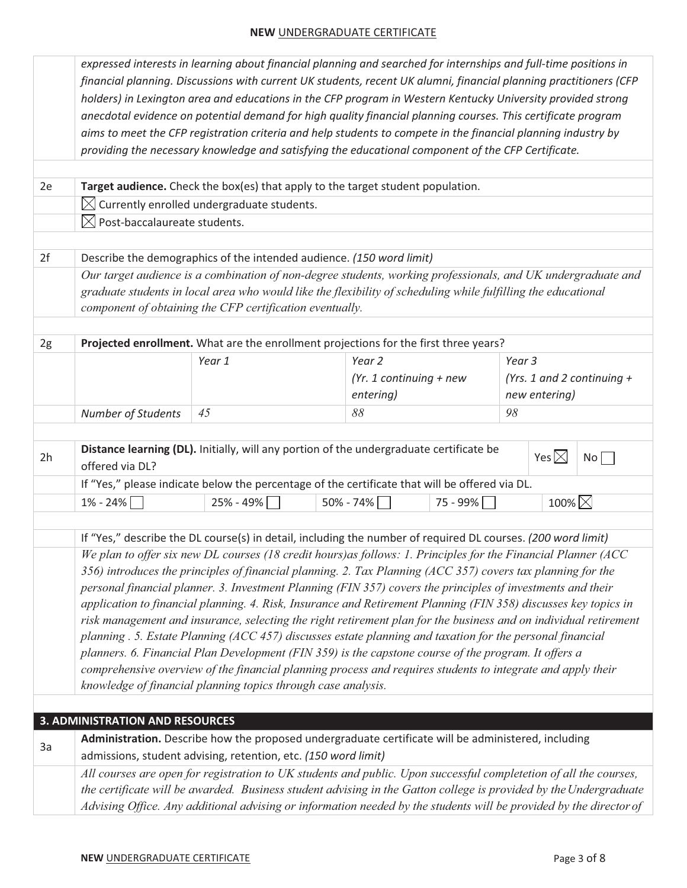|    |                                          | expressed interests in learning about financial planning and searched for internships and full-time positions in                                                                                                    |                           |             |        |               |                              |
|----|------------------------------------------|---------------------------------------------------------------------------------------------------------------------------------------------------------------------------------------------------------------------|---------------------------|-------------|--------|---------------|------------------------------|
|    |                                          | financial planning. Discussions with current UK students, recent UK alumni, financial planning practitioners (CFP                                                                                                   |                           |             |        |               |                              |
|    |                                          | holders) in Lexington area and educations in the CFP program in Western Kentucky University provided strong                                                                                                         |                           |             |        |               |                              |
|    |                                          | anecdotal evidence on potential demand for high quality financial planning courses. This certificate program                                                                                                        |                           |             |        |               |                              |
|    |                                          | aims to meet the CFP registration criteria and help students to compete in the financial planning industry by                                                                                                       |                           |             |        |               |                              |
|    |                                          | providing the necessary knowledge and satisfying the educational component of the CFP Certificate.                                                                                                                  |                           |             |        |               |                              |
|    |                                          |                                                                                                                                                                                                                     |                           |             |        |               |                              |
| 2e |                                          | Target audience. Check the box(es) that apply to the target student population.                                                                                                                                     |                           |             |        |               |                              |
|    |                                          | $\boxtimes$ Currently enrolled undergraduate students.                                                                                                                                                              |                           |             |        |               |                              |
|    | $\boxtimes$ Post-baccalaureate students. |                                                                                                                                                                                                                     |                           |             |        |               |                              |
|    |                                          |                                                                                                                                                                                                                     |                           |             |        |               |                              |
| 2f |                                          | Describe the demographics of the intended audience. (150 word limit)                                                                                                                                                |                           |             |        |               |                              |
|    |                                          | Our target audience is a combination of non-degree students, working professionals, and UK undergraduate and                                                                                                        |                           |             |        |               |                              |
|    |                                          | graduate students in local area who would like the flexibility of scheduling while fulfilling the educational                                                                                                       |                           |             |        |               |                              |
|    |                                          | component of obtaining the CFP certification eventually.                                                                                                                                                            |                           |             |        |               |                              |
|    |                                          |                                                                                                                                                                                                                     |                           |             |        |               |                              |
| 2g |                                          | Projected enrollment. What are the enrollment projections for the first three years?                                                                                                                                |                           |             |        |               |                              |
|    |                                          | Year 1                                                                                                                                                                                                              | Year 2                    |             | Year 3 |               |                              |
|    |                                          |                                                                                                                                                                                                                     | (Yr. 1 continuing $+$ new |             |        |               | (Yrs. 1 and 2 continuing $+$ |
|    |                                          |                                                                                                                                                                                                                     | entering)                 |             |        | new entering) |                              |
|    | <b>Number of Students</b>                | 45                                                                                                                                                                                                                  | 88                        |             | 98     |               |                              |
|    |                                          |                                                                                                                                                                                                                     |                           |             |        |               |                              |
| 2h |                                          | Distance learning (DL). Initially, will any portion of the undergraduate certificate be                                                                                                                             |                           |             |        | Yes $\times$  | No                           |
|    | offered via DL?                          |                                                                                                                                                                                                                     |                           |             |        |               |                              |
|    |                                          | If "Yes," please indicate below the percentage of the certificate that will be offered via DL.                                                                                                                      |                           |             |        |               |                              |
|    | $1\% - 24\%$                             | 25% - 49%                                                                                                                                                                                                           | $50\% - 74\%$             | $75 - 99\%$ |        | 100% $\times$ |                              |
|    |                                          |                                                                                                                                                                                                                     |                           |             |        |               |                              |
|    |                                          | If "Yes," describe the DL course(s) in detail, including the number of required DL courses. (200 word limit)                                                                                                        |                           |             |        |               |                              |
|    |                                          | We plan to offer six new DL courses (18 credit hours) as follows: 1. Principles for the Financial Planner (ACC                                                                                                      |                           |             |        |               |                              |
|    |                                          | 356) introduces the principles of financial planning. 2. Tax Planning (ACC 357) covers tax planning for the                                                                                                         |                           |             |        |               |                              |
|    |                                          | personal financial planner. 3. Investment Planning (FIN 357) covers the principles of investments and their                                                                                                         |                           |             |        |               |                              |
|    |                                          | application to financial planning. 4. Risk, Insurance and Retirement Planning (FIN 358) discusses key topics in                                                                                                     |                           |             |        |               |                              |
|    |                                          | risk management and insurance, selecting the right retirement plan for the business and on individual retirement                                                                                                    |                           |             |        |               |                              |
|    |                                          | planning . 5. Estate Planning (ACC 457) discusses estate planning and taxation for the personal financial                                                                                                           |                           |             |        |               |                              |
|    |                                          | planners. 6. Financial Plan Development (FIN 359) is the capstone course of the program. It offers a<br>comprehensive overview of the financial planning process and requires students to integrate and apply their |                           |             |        |               |                              |
|    |                                          | knowledge of financial planning topics through case analysis.                                                                                                                                                       |                           |             |        |               |                              |
|    |                                          |                                                                                                                                                                                                                     |                           |             |        |               |                              |
|    | <b>3. ADMINISTRATION AND RESOURCES</b>   |                                                                                                                                                                                                                     |                           |             |        |               |                              |
|    |                                          | Administration. Describe how the proposed undergraduate certificate will be administered, including                                                                                                                 |                           |             |        |               |                              |
| 3a |                                          | admissions, student advising, retention, etc. (150 word limit)                                                                                                                                                      |                           |             |        |               |                              |
|    |                                          | All courses are open for registration to UK students and public. Upon successful completetion of all the courses,                                                                                                   |                           |             |        |               |                              |
|    |                                          | the certificate will be awarded. Business student advising in the Gatton college is provided by the Undergraduate                                                                                                   |                           |             |        |               |                              |
|    |                                          | Advising Office. Any additional advising or information needed by the students will be provided by the director of                                                                                                  |                           |             |        |               |                              |
|    |                                          |                                                                                                                                                                                                                     |                           |             |        |               |                              |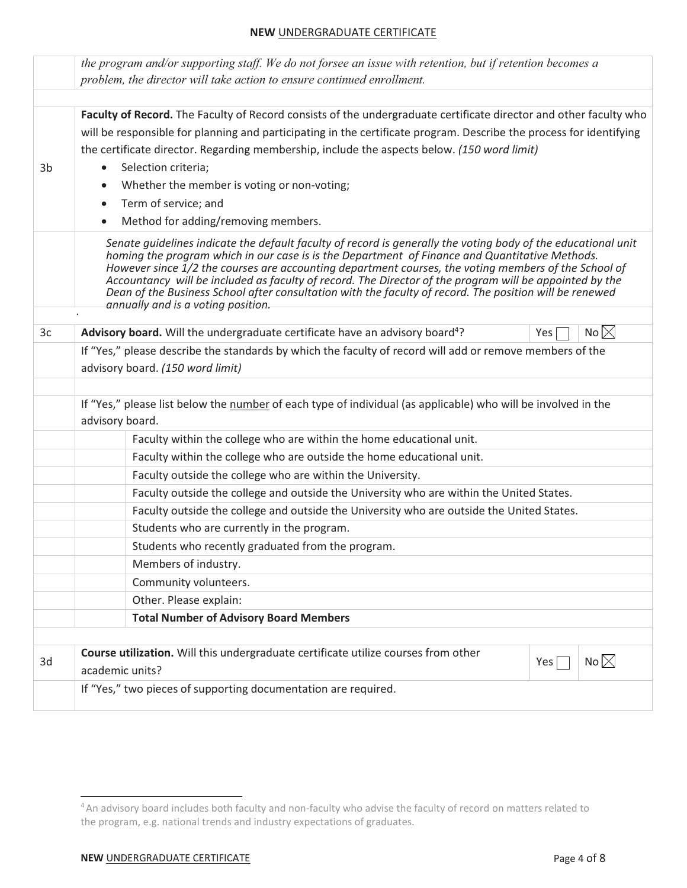|    | the program and/or supporting staff. We do not forsee an issue with retention, but if retention becomes a<br>problem, the director will take action to ensure continued enrollment.                                                                                                                                                                                                                                                                                                                                                                                                 |
|----|-------------------------------------------------------------------------------------------------------------------------------------------------------------------------------------------------------------------------------------------------------------------------------------------------------------------------------------------------------------------------------------------------------------------------------------------------------------------------------------------------------------------------------------------------------------------------------------|
|    |                                                                                                                                                                                                                                                                                                                                                                                                                                                                                                                                                                                     |
|    | Faculty of Record. The Faculty of Record consists of the undergraduate certificate director and other faculty who                                                                                                                                                                                                                                                                                                                                                                                                                                                                   |
|    | will be responsible for planning and participating in the certificate program. Describe the process for identifying                                                                                                                                                                                                                                                                                                                                                                                                                                                                 |
|    | the certificate director. Regarding membership, include the aspects below. (150 word limit)                                                                                                                                                                                                                                                                                                                                                                                                                                                                                         |
| 3b | Selection criteria;                                                                                                                                                                                                                                                                                                                                                                                                                                                                                                                                                                 |
|    | Whether the member is voting or non-voting;                                                                                                                                                                                                                                                                                                                                                                                                                                                                                                                                         |
|    | Term of service; and<br>$\bullet$                                                                                                                                                                                                                                                                                                                                                                                                                                                                                                                                                   |
|    | Method for adding/removing members.                                                                                                                                                                                                                                                                                                                                                                                                                                                                                                                                                 |
|    | Senate guidelines indicate the default faculty of record is generally the voting body of the educational unit<br>homing the program which in our case is is the Department of Finance and Quantitative Methods.<br>However since 1/2 the courses are accounting department courses, the voting members of the School of<br>Accountancy will be included as faculty of record. The Director of the program will be appointed by the<br>Dean of the Business School after consultation with the faculty of record. The position will be renewed<br>annually and is a voting position. |
| 3c | No $\times$<br>Advisory board. Will the undergraduate certificate have an advisory board <sup>4</sup> ?<br>Yes                                                                                                                                                                                                                                                                                                                                                                                                                                                                      |
|    | If "Yes," please describe the standards by which the faculty of record will add or remove members of the                                                                                                                                                                                                                                                                                                                                                                                                                                                                            |
|    | advisory board. (150 word limit)                                                                                                                                                                                                                                                                                                                                                                                                                                                                                                                                                    |
|    |                                                                                                                                                                                                                                                                                                                                                                                                                                                                                                                                                                                     |
|    | If "Yes," please list below the number of each type of individual (as applicable) who will be involved in the                                                                                                                                                                                                                                                                                                                                                                                                                                                                       |
|    | advisory board.                                                                                                                                                                                                                                                                                                                                                                                                                                                                                                                                                                     |
|    | Faculty within the college who are within the home educational unit.                                                                                                                                                                                                                                                                                                                                                                                                                                                                                                                |
|    | Faculty within the college who are outside the home educational unit.                                                                                                                                                                                                                                                                                                                                                                                                                                                                                                               |
|    | Faculty outside the college who are within the University.                                                                                                                                                                                                                                                                                                                                                                                                                                                                                                                          |
|    | Faculty outside the college and outside the University who are within the United States.                                                                                                                                                                                                                                                                                                                                                                                                                                                                                            |
|    | Faculty outside the college and outside the University who are outside the United States.                                                                                                                                                                                                                                                                                                                                                                                                                                                                                           |
|    | Students who are currently in the program.                                                                                                                                                                                                                                                                                                                                                                                                                                                                                                                                          |
|    | Students who recently graduated from the program.                                                                                                                                                                                                                                                                                                                                                                                                                                                                                                                                   |
|    | Members of industry.                                                                                                                                                                                                                                                                                                                                                                                                                                                                                                                                                                |
|    | Community volunteers.                                                                                                                                                                                                                                                                                                                                                                                                                                                                                                                                                               |
|    | Other. Please explain:                                                                                                                                                                                                                                                                                                                                                                                                                                                                                                                                                              |
|    | <b>Total Number of Advisory Board Members</b>                                                                                                                                                                                                                                                                                                                                                                                                                                                                                                                                       |
|    |                                                                                                                                                                                                                                                                                                                                                                                                                                                                                                                                                                                     |
| 3d | Course utilization. Will this undergraduate certificate utilize courses from other<br>No $\times$<br>Yes [<br>academic units?                                                                                                                                                                                                                                                                                                                                                                                                                                                       |
|    | If "Yes," two pieces of supporting documentation are required.                                                                                                                                                                                                                                                                                                                                                                                                                                                                                                                      |

<sup>&</sup>lt;sup>4</sup> An advisory board includes both faculty and non-faculty who advise the faculty of record on matters related to the program, e.g. national trends and industry expectations of graduates.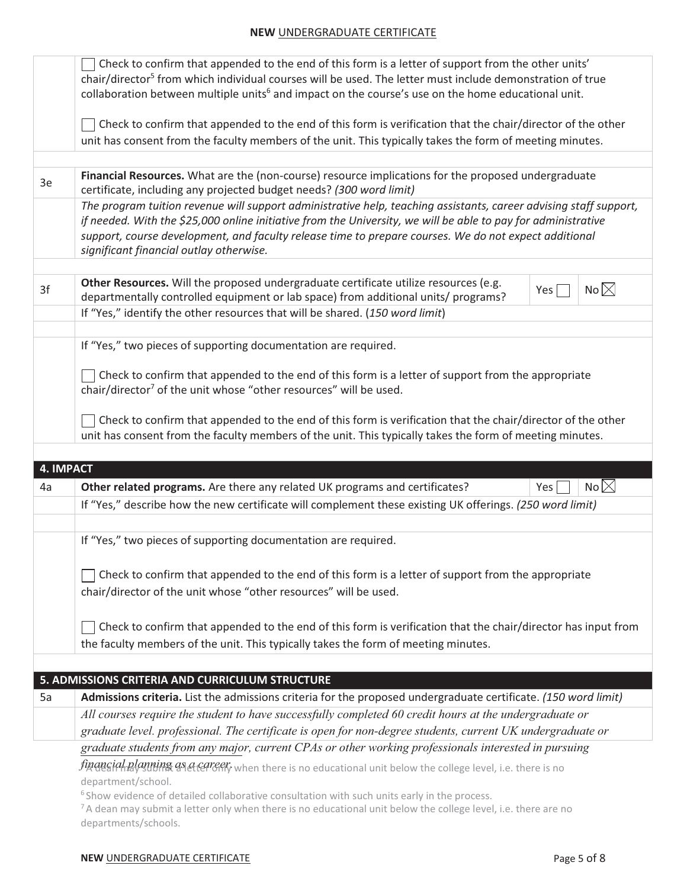|    | Check to confirm that appended to the end of this form is a letter of support from the other units'<br>chair/director <sup>5</sup> from which individual courses will be used. The letter must include demonstration of true |
|----|------------------------------------------------------------------------------------------------------------------------------------------------------------------------------------------------------------------------------|
|    | collaboration between multiple units <sup>6</sup> and impact on the course's use on the home educational unit.                                                                                                               |
|    |                                                                                                                                                                                                                              |
|    | Check to confirm that appended to the end of this form is verification that the chair/director of the other                                                                                                                  |
|    | unit has consent from the faculty members of the unit. This typically takes the form of meeting minutes.                                                                                                                     |
|    |                                                                                                                                                                                                                              |
| 3e | Financial Resources. What are the (non-course) resource implications for the proposed undergraduate<br>certificate, including any projected budget needs? (300 word limit)                                                   |
|    | The program tuition revenue will support administrative help, teaching assistants, career advising staff support,                                                                                                            |
|    | if needed. With the \$25,000 online initiative from the University, we will be able to pay for administrative                                                                                                                |
|    | support, course development, and faculty release time to prepare courses. We do not expect additional                                                                                                                        |
|    | significant financial outlay otherwise.                                                                                                                                                                                      |
|    | Other Resources. Will the proposed undergraduate certificate utilize resources (e.g.                                                                                                                                         |
| 3f | No $\times$<br>Yes<br>departmentally controlled equipment or lab space) from additional units/ programs?                                                                                                                     |
|    | If "Yes," identify the other resources that will be shared. (150 word limit)                                                                                                                                                 |
|    |                                                                                                                                                                                                                              |
|    | If "Yes," two pieces of supporting documentation are required.                                                                                                                                                               |
|    | Check to confirm that appended to the end of this form is a letter of support from the appropriate                                                                                                                           |
|    | chair/director <sup>7</sup> of the unit whose "other resources" will be used.                                                                                                                                                |
|    |                                                                                                                                                                                                                              |
|    | Check to confirm that appended to the end of this form is verification that the chair/director of the other                                                                                                                  |
|    | unit has consent from the faculty members of the unit. This typically takes the form of meeting minutes.                                                                                                                     |
|    |                                                                                                                                                                                                                              |
| 4a | <b>4. IMPACT</b><br>No $\times$<br>Other related programs. Are there any related UK programs and certificates?<br>Yes                                                                                                        |
|    | If "Yes," describe how the new certificate will complement these existing UK offerings. (250 word limit)                                                                                                                     |
|    |                                                                                                                                                                                                                              |
|    | If "Yes," two pieces of supporting documentation are required.                                                                                                                                                               |
|    |                                                                                                                                                                                                                              |
|    | Check to confirm that appended to the end of this form is a letter of support from the appropriate                                                                                                                           |
|    | chair/director of the unit whose "other resources" will be used.                                                                                                                                                             |
|    |                                                                                                                                                                                                                              |
|    | Check to confirm that appended to the end of this form is verification that the chair/director has input from                                                                                                                |
|    | the faculty members of the unit. This typically takes the form of meeting minutes.                                                                                                                                           |
|    |                                                                                                                                                                                                                              |
|    | 5. ADMISSIONS CRITERIA AND CURRICULUM STRUCTURE                                                                                                                                                                              |
| 5a | Admissions criteria. List the admissions criteria for the proposed undergraduate certificate. (150 word limit)                                                                                                               |
|    | All courses require the student to have successfully completed 60 credit hours at the undergraduate or                                                                                                                       |
|    | graduate level. professional. The certificate is open for non-degree students, current UK undergraduate or                                                                                                                   |
|    | graduate students from any major, current CPAs or other working professionals interested in pursuing                                                                                                                         |
|    | finangial planning as a carrily when there is no educational unit below the college level, i.e. there is no                                                                                                                  |
|    | department/school.<br><sup>6</sup> Show evidence of detailed collaborative consultation with such units early in the process.                                                                                                |
|    | <sup>7</sup> A dean may submit a letter only when there is no educational unit below the college level, i.e. there are no                                                                                                    |
|    | departments/schools.                                                                                                                                                                                                         |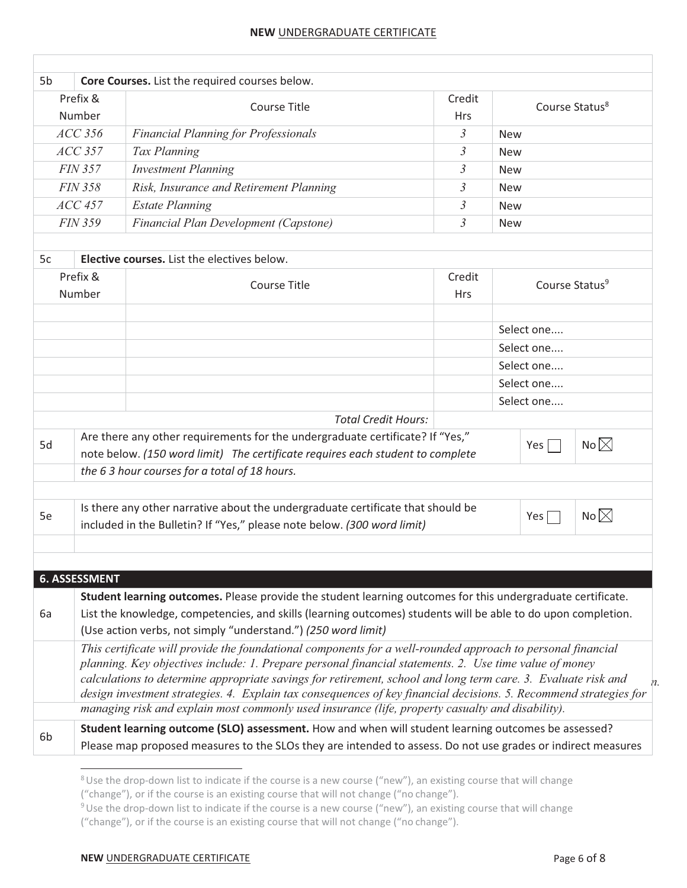| 5b                                           |                                                                                                                                                                                       | Core Courses. List the required courses below.                                                                                                                                                                                                                                                                                                                                                                                                              |                      |                            |                            |             |
|----------------------------------------------|---------------------------------------------------------------------------------------------------------------------------------------------------------------------------------------|-------------------------------------------------------------------------------------------------------------------------------------------------------------------------------------------------------------------------------------------------------------------------------------------------------------------------------------------------------------------------------------------------------------------------------------------------------------|----------------------|----------------------------|----------------------------|-------------|
| Prefix &<br>Number                           |                                                                                                                                                                                       | <b>Course Title</b>                                                                                                                                                                                                                                                                                                                                                                                                                                         | Credit<br><b>Hrs</b> | Course Status <sup>8</sup> |                            |             |
| $ACC$ 356                                    |                                                                                                                                                                                       | <b>Financial Planning for Professionals</b>                                                                                                                                                                                                                                                                                                                                                                                                                 | $\mathfrak{Z}$       | <b>New</b>                 |                            |             |
|                                              | $ACC$ 357                                                                                                                                                                             | Tax Planning                                                                                                                                                                                                                                                                                                                                                                                                                                                | $\mathfrak{Z}$       | <b>New</b>                 |                            |             |
|                                              | <b>FIN 357</b>                                                                                                                                                                        | <b>Investment Planning</b>                                                                                                                                                                                                                                                                                                                                                                                                                                  | $\mathfrak{Z}$       | <b>New</b>                 |                            |             |
|                                              | <b>FIN 358</b>                                                                                                                                                                        | Risk, Insurance and Retirement Planning                                                                                                                                                                                                                                                                                                                                                                                                                     | 3                    | <b>New</b>                 |                            |             |
|                                              | $ACC$ 457                                                                                                                                                                             | <b>Estate Planning</b>                                                                                                                                                                                                                                                                                                                                                                                                                                      | 3                    | <b>New</b>                 |                            |             |
|                                              | <b>FIN 359</b>                                                                                                                                                                        | Financial Plan Development (Capstone)                                                                                                                                                                                                                                                                                                                                                                                                                       | $\mathfrak{Z}$       | <b>New</b>                 |                            |             |
|                                              |                                                                                                                                                                                       |                                                                                                                                                                                                                                                                                                                                                                                                                                                             |                      |                            |                            |             |
| 5c                                           |                                                                                                                                                                                       | <b>Elective courses.</b> List the electives below.                                                                                                                                                                                                                                                                                                                                                                                                          |                      |                            |                            |             |
|                                              | Prefix &<br>Number                                                                                                                                                                    | <b>Course Title</b>                                                                                                                                                                                                                                                                                                                                                                                                                                         | Credit<br><b>Hrs</b> |                            | Course Status <sup>9</sup> |             |
|                                              |                                                                                                                                                                                       |                                                                                                                                                                                                                                                                                                                                                                                                                                                             |                      | Select one                 |                            |             |
|                                              |                                                                                                                                                                                       |                                                                                                                                                                                                                                                                                                                                                                                                                                                             |                      | Select one                 |                            |             |
|                                              |                                                                                                                                                                                       |                                                                                                                                                                                                                                                                                                                                                                                                                                                             |                      | Select one                 |                            |             |
|                                              |                                                                                                                                                                                       |                                                                                                                                                                                                                                                                                                                                                                                                                                                             |                      | Select one                 |                            |             |
|                                              |                                                                                                                                                                                       |                                                                                                                                                                                                                                                                                                                                                                                                                                                             |                      | Select one                 |                            |             |
|                                              |                                                                                                                                                                                       | <b>Total Credit Hours:</b>                                                                                                                                                                                                                                                                                                                                                                                                                                  |                      |                            |                            |             |
| 5d                                           | Are there any other requirements for the undergraduate certificate? If "Yes,"<br>No $\times$<br>Yes<br>note below. (150 word limit) The certificate requires each student to complete |                                                                                                                                                                                                                                                                                                                                                                                                                                                             |                      |                            |                            |             |
| the 63 hour courses for a total of 18 hours. |                                                                                                                                                                                       |                                                                                                                                                                                                                                                                                                                                                                                                                                                             |                      |                            |                            |             |
|                                              |                                                                                                                                                                                       |                                                                                                                                                                                                                                                                                                                                                                                                                                                             |                      |                            |                            |             |
| 5e                                           |                                                                                                                                                                                       | Is there any other narrative about the undergraduate certificate that should be<br>included in the Bulletin? If "Yes," please note below. (300 word limit)                                                                                                                                                                                                                                                                                                  |                      |                            | Yes $\Gamma$               | No $\times$ |
|                                              |                                                                                                                                                                                       |                                                                                                                                                                                                                                                                                                                                                                                                                                                             |                      |                            |                            |             |
|                                              |                                                                                                                                                                                       |                                                                                                                                                                                                                                                                                                                                                                                                                                                             |                      |                            |                            |             |
|                                              | <b>6. ASSESSMENT</b>                                                                                                                                                                  |                                                                                                                                                                                                                                                                                                                                                                                                                                                             |                      |                            |                            |             |
| 6a                                           |                                                                                                                                                                                       | Student learning outcomes. Please provide the student learning outcomes for this undergraduate certificate.<br>List the knowledge, competencies, and skills (learning outcomes) students will be able to do upon completion.                                                                                                                                                                                                                                |                      |                            |                            |             |
|                                              |                                                                                                                                                                                       | (Use action verbs, not simply "understand.") (250 word limit)                                                                                                                                                                                                                                                                                                                                                                                               |                      |                            |                            |             |
|                                              |                                                                                                                                                                                       | This certificate will provide the foundational components for a well-rounded approach to personal financial<br>planning. Key objectives include: 1. Prepare personal financial statements. 2. Use time value of money<br>calculations to determine appropriate savings for retirement, school and long term care. 3. Evaluate risk and<br>design investment strategies. 4. Explain tax consequences of key financial decisions. 5. Recommend strategies for |                      |                            |                            |             |
|                                              |                                                                                                                                                                                       | managing risk and explain most commonly used insurance (life, property casualty and disability).                                                                                                                                                                                                                                                                                                                                                            |                      |                            |                            |             |
| 6b                                           |                                                                                                                                                                                       | Student learning outcome (SLO) assessment. How and when will student learning outcomes be assessed?<br>Please map proposed measures to the SLOs they are intended to assess. Do not use grades or indirect measures                                                                                                                                                                                                                                         |                      |                            |                            |             |
|                                              |                                                                                                                                                                                       |                                                                                                                                                                                                                                                                                                                                                                                                                                                             |                      |                            |                            |             |

<sup>&</sup>lt;sup>8</sup> Use the drop-down list to indicate if the course is a new course ("new"), an existing course that will change

<sup>(&</sup>quot;change"), or if the course is an existing course that will not change ("no change").

<sup>&</sup>lt;sup>9</sup> Use the drop-down list to indicate if the course is a new course ("new"), an existing course that will change ("change"), or if the course is an existing course that will not change ("no change").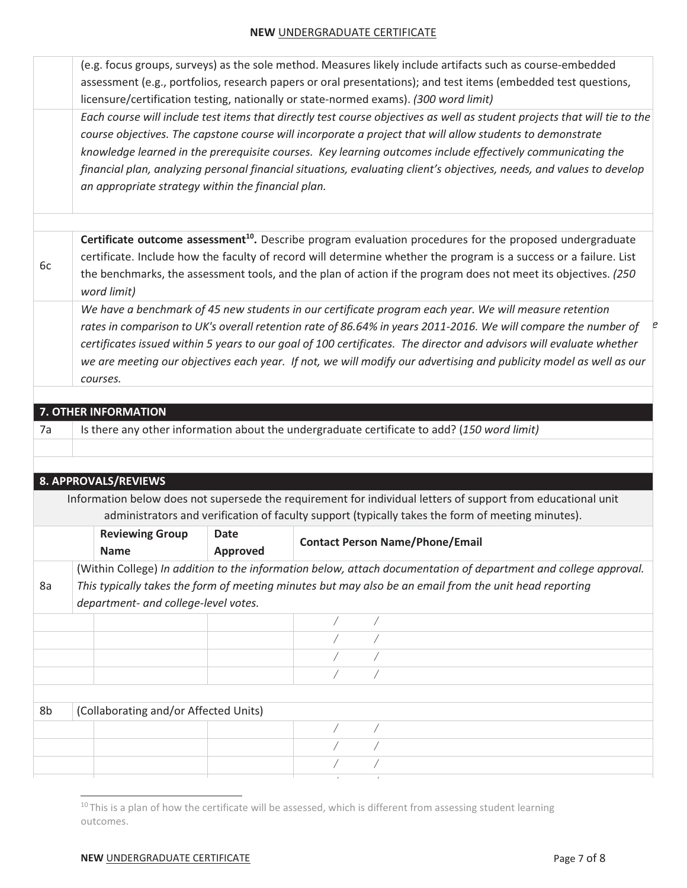(e.g. focus groups, surveys) as the sole method. Measures likely include artifacts such as course-embedded assessment (e.g., portfolios, research papers or oral presentations); and test items (embedded test questions, licensure/certification testing, nationally or state-normed exams). *(300 word limit)* 

*include a comprehensive financial plan case that will allow the student to apply the course objectives. The capstone course will incorporate a project that will allow students to demonstrate Each course will include test items that directly test course objectives as well as student projects that will tie to the knowledge learned in the prerequisite courses. Key learning outcomes include effectively communicating the financial plan, analyzing personal financial situations, evaluating client's objectives, needs, and values to develop an appropriate strategy within the financial plan.* 

6c **Certificate outcome assessment<sup>10</sup>.** Describe program evaluation procedures for the proposed undergraduate certificate. Include how the faculty of record will determine whether the program is a success or a failure. List the benchmarks, the assessment tools, and the plan of action if the program does not meet its objectives. *(250 word limit)* 

rates in comparison to UK's overall retention rate of 86.64% in years 2011-2016. We will compare the number of *program does not meet its objectives the faculty of record will modify the certificates issued within 5 years to our goal of 100 certificates. The director and advisors will evaluate whether We have a benchmark of 45 new students in our certificate program each year. We will measure retention we are meeting our objectives each year. If not, we will modify our advertising and publicity model as well as our courses.* 

|    | 7. OTHER INFORMATION                  |                 |                                                                                             |                                                                                                                 |
|----|---------------------------------------|-----------------|---------------------------------------------------------------------------------------------|-----------------------------------------------------------------------------------------------------------------|
| 7a |                                       |                 | Is there any other information about the undergraduate certificate to add? (150 word limit) |                                                                                                                 |
|    |                                       |                 |                                                                                             |                                                                                                                 |
|    |                                       |                 |                                                                                             |                                                                                                                 |
|    | 8. APPROVALS/REVIEWS                  |                 |                                                                                             |                                                                                                                 |
|    |                                       |                 |                                                                                             | Information below does not supersede the requirement for individual letters of support from educational unit    |
|    |                                       |                 |                                                                                             | administrators and verification of faculty support (typically takes the form of meeting minutes).               |
|    | <b>Reviewing Group</b>                | <b>Date</b>     |                                                                                             |                                                                                                                 |
|    | <b>Name</b>                           | <b>Approved</b> | <b>Contact Person Name/Phone/Email</b>                                                      |                                                                                                                 |
|    |                                       |                 |                                                                                             | (Within College) In addition to the information below, attach documentation of department and college approval. |
| 8a |                                       |                 |                                                                                             | This typically takes the form of meeting minutes but may also be an email from the unit head reporting          |
|    | department- and college-level votes.  |                 |                                                                                             |                                                                                                                 |
|    |                                       |                 |                                                                                             |                                                                                                                 |
|    |                                       |                 |                                                                                             |                                                                                                                 |
|    |                                       |                 |                                                                                             |                                                                                                                 |
|    |                                       |                 |                                                                                             |                                                                                                                 |
|    |                                       |                 |                                                                                             |                                                                                                                 |
| 8b | (Collaborating and/or Affected Units) |                 |                                                                                             |                                                                                                                 |
|    |                                       |                 |                                                                                             |                                                                                                                 |
|    |                                       |                 |                                                                                             |                                                                                                                 |
|    |                                       |                 |                                                                                             |                                                                                                                 |
|    |                                       |                 |                                                                                             |                                                                                                                 |

 $10$  This is a plan of how the certificate will be assessed, which is different from assessing student learning outcomes.

*e*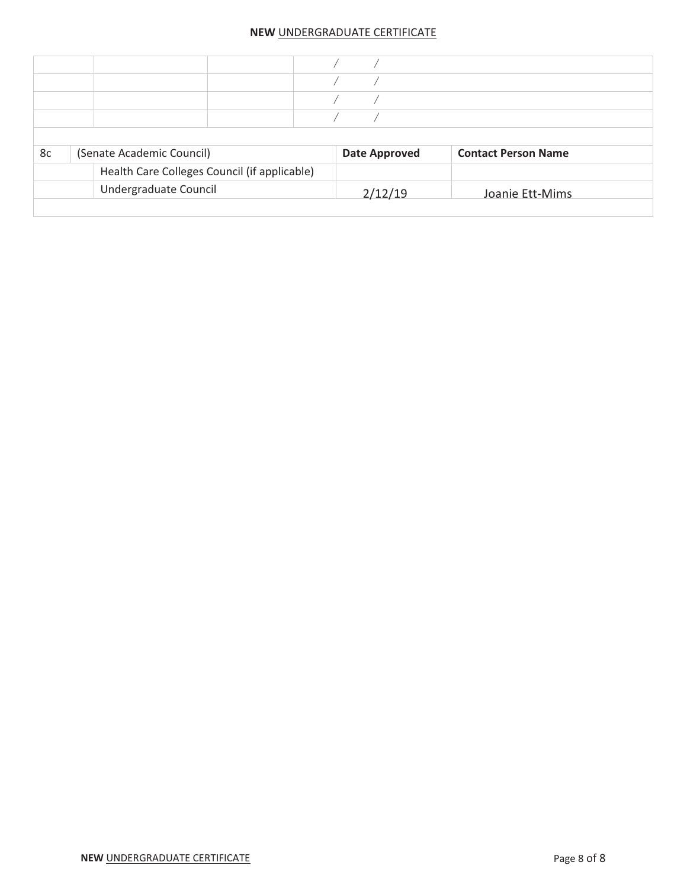| 8c | (Senate Academic Council)                    | <b>Date Approved</b> | <b>Contact Person Name</b> |
|----|----------------------------------------------|----------------------|----------------------------|
|    | Health Care Colleges Council (if applicable) |                      |                            |
|    | Undergraduate Council                        | 2/12/19              | Joanie Ett-Mims            |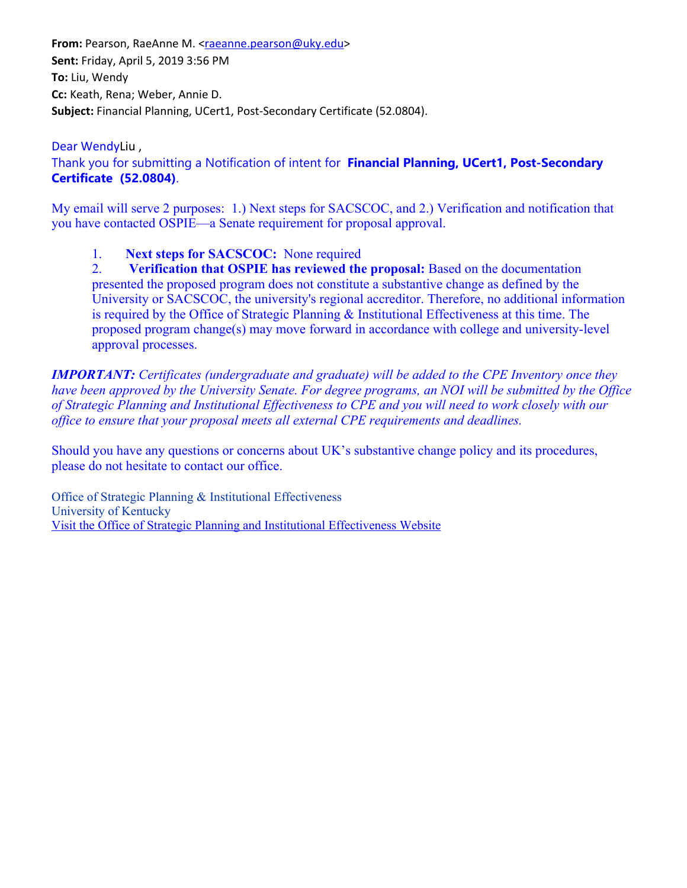From: Pearson, RaeAnne M. [<raeanne.pearson@uky.edu](mailto:raeanne.pearson@uky.edu)> **Sent:** Friday, April 5, 2019 3:56 PM **To:** Liu, Wendy **Cc:** Keath, Rena; Weber, Annie D. Subject: Financial Planning, UCert1, Post-Secondary Certificate (52.0804).

#### Dear WendyLiu ,

Thank you for submitting a Notification of intent for **Financial Planning, UCert1, Post-Secondary Certificate (52.0804)**.

My email will serve 2 purposes: 1.) Next steps for SACSCOC, and 2.) Verification and notification that you have contacted OSPIE—a Senate requirement for proposal approval.

1. **Next steps for SACSCOC:** None required

2. **Verification that OSPIE has reviewed the proposal:** Based on the documentation presented the proposed program does not constitute a substantive change as defined by the University or SACSCOC, the university's regional accreditor. Therefore, no additional information is required by the Office of Strategic Planning & Institutional Effectiveness at this time. The proposed program change(s) may move forward in accordance with college and university-level approval processes.

*IMPORTANT: Certificates (undergraduate and graduate) will be added to the CPE Inventory once they have been approved by the University Senate. For degree programs, an NOI will be submitted by the Office of Strategic Planning and Institutional Effectiveness to CPE and you will need to work closely with our office to ensure that your proposal meets all external CPE requirements and deadlines.*

Should you have any questions or concerns about UK's substantive change policy and its procedures, please do not hesitate to contact our office.

Office of Strategic Planning & Institutional Effectiveness University of Kentucky [Visit the Office of Strategic Planning and Institutional Effectiveness Website](https://nam04.safelinks.protection.outlook.com/?url=https%3A%2F%2Fproxy.qualtrics.com%2Fproxy%2F%3Furl%3Dhttp%253A%252F%252Fwww.uky.edu%252FIE%26token%3D8YTPYDxhO%252FvnoQ3FXkSXWLetX0TTIOyUQOwgwrjlGBY%253D&data=02%7C01%7Ccvines%40uky.edu%7C4c54d88fc85b4666844908d6ba1ca036%7C2b30530b69b64457b818481cb53d42ae%7C0%7C0%7C636901029454320193&sdata=U%2FjFoc8%2B9KbHgyAsHao%2BNtyGGe61zV%2BhasQ9%2FNWBaqg%3D&reserved=0)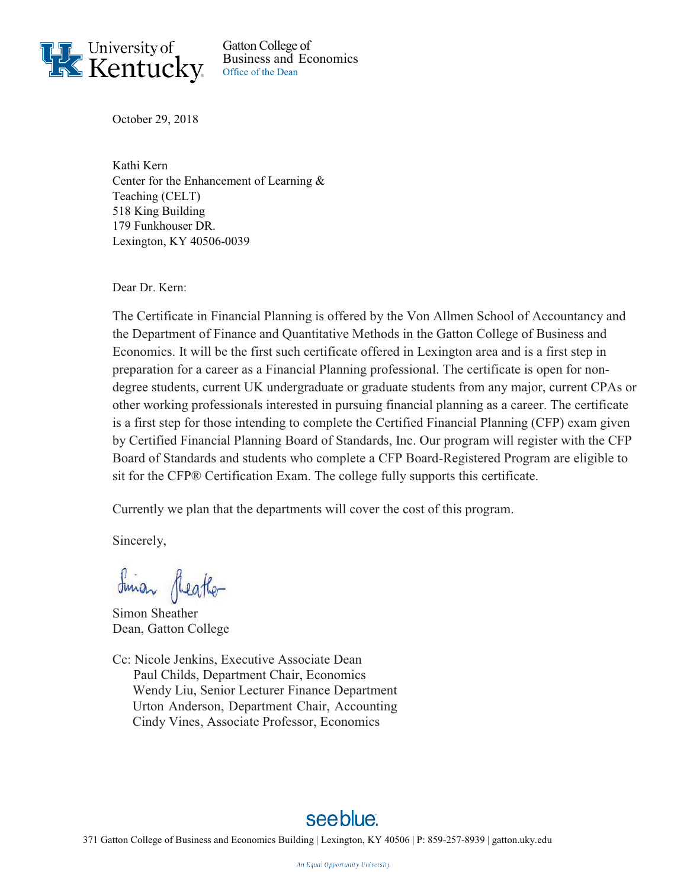

Gatton College of Business and Economics Office of the Dean

October 29, 2018

Kathi Kern Center for the Enhancement of Learning & Teaching (CELT) 518 King Building 179 Funkhouser DR. Lexington, KY 40506-0039

Dear Dr. Kern:

The Certificate in Financial Planning is offered by the Von Allmen School of Accountancy and the Department of Finance and Quantitative Methods in the Gatton College of Business and Economics. It will be the first such certificate offered in Lexington area and is a first step in preparation for a career as a Financial Planning professional. The certificate is open for nondegree students, current UK undergraduate or graduate students from any major, current CPAs or other working professionals interested in pursuing financial planning as a career. The certificate is a first step for those intending to complete the Certified Financial Planning (CFP) exam given by Certified Financial Planning Board of Standards, Inc. Our program will register with the CFP Board of Standards and students who complete a CFP Board-Registered Program are eligible to sit for the CFP® Certification Exam. The college fully supports this certificate.

Currently we plan that the departments will cover the cost of this program.

Sincerely,

Sinan Sheather

Simon Sheather Dean, Gatton College

Cc: Nicole Jenkins, Executive Associate Dean Paul Childs, Department Chair, Economics Wendy Liu, Senior Lecturer Finance Department Urton Anderson, Department Chair, Accounting Cindy Vines, Associate Professor, Economics

# see blue.

371 Gatton College of Business and Economics Building | Lexington, KY 40506 | P: 859-257-8939 | gatton.uky.edu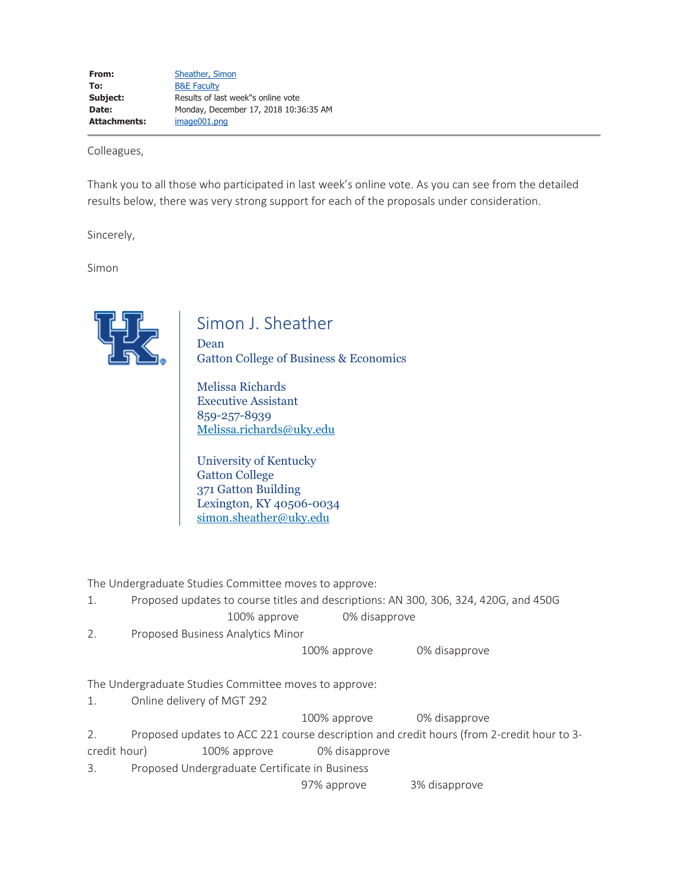Colleagues,

Thank you to all those who participated in last week's online vote. As you can see from the detailed results below, there was very strong support for each of the proposals under consideration.

Sincerely,

Simon



# Simon J. Sheather

Dean Gatton College of Business & Economics

Melissa Richards Executive Assistant 859-257-8939 Melissa.richards@uky.edu

University of Kentucky Gatton College 371 Gatton Building Lexington, KY 40506-0034 simon.sheather@uky.edu

The Undergraduate Studies Committee moves to approve:

- 1. Proposed updates to course titles and descriptions: AN 300, 306, 324, 420G, and 450G 100% approve 0% disapprove
- 2. Proposed Business Analytics Minor

100% approve 0% disapprove

The Undergraduate Studies Committee moves to approve:

1. Online delivery of MGT 292

100% approve 0% disapprove

2. Proposed updates to ACC 221 course description and credit hours (from 2-credit hour to 3 credit hour) 100% approve 0% disapprove

3. Proposed Undergraduate Certificate in Business

97% approve 3% disapprove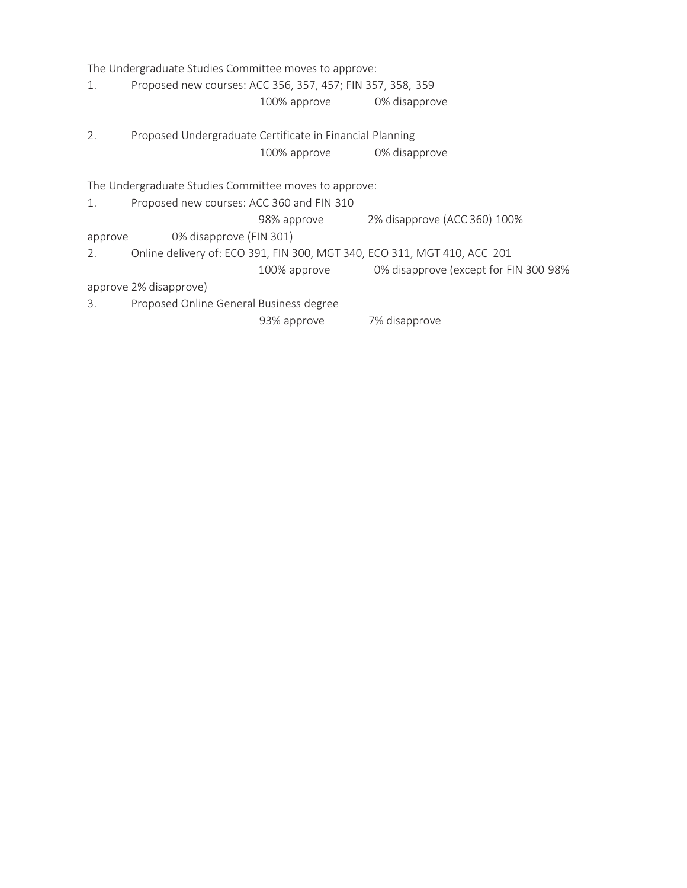The Undergraduate Studies Committee moves to approve: 1. Proposed new courses: ACC 356, 357, 457; FIN 357, 358, 359 100% approve 0% disapprove 2. Proposed Undergraduate Certificate in Financial Planning 100% approve 0% disapprove The Undergraduate Studies Committee moves to approve: 1. Proposed new courses: ACC 360 and FIN 310 98% approve 2% disapprove (ACC 360) 100% approve 0% disapprove (FIN 301) 2. Online delivery of: ECO 391, FIN 300, MGT 340, ECO 311, MGT 410, ACC 201 100% approve 0% disapprove (except for FIN 300 98% approve 2% disapprove) 3. Proposed Online General Business degree 93% approve 7% disapprove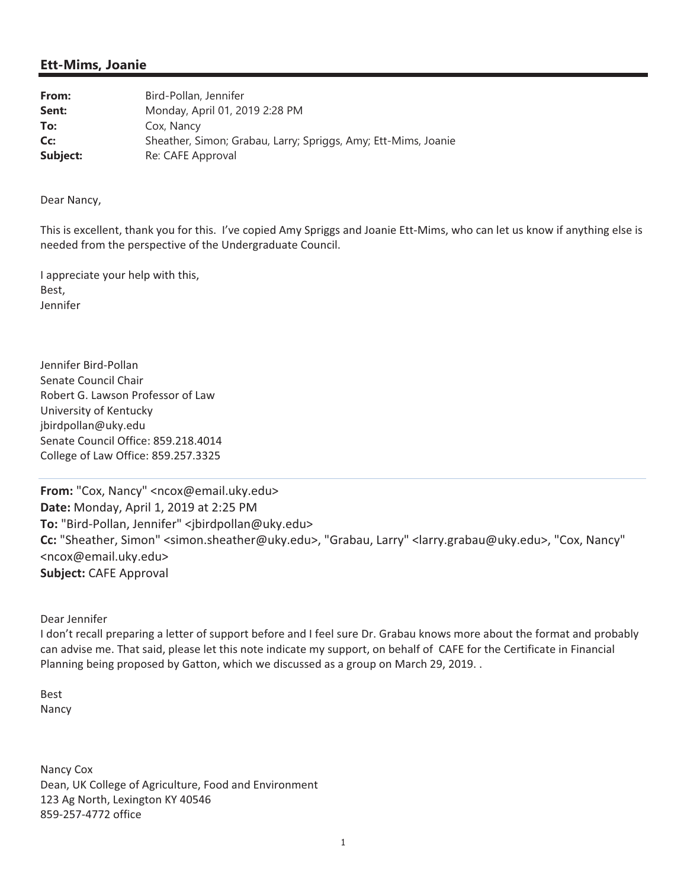### **Ett-Mims, Joanie**

| From:    | Bird-Pollan, Jennifer                                          |
|----------|----------------------------------------------------------------|
| Sent:    | Monday, April 01, 2019 2:28 PM                                 |
| To:      | Cox, Nancy                                                     |
| Cc:      | Sheather, Simon; Grabau, Larry; Spriggs, Amy; Ett-Mims, Joanie |
| Subject: | Re: CAFE Approval                                              |

Dear Nancy,

This is excellent, thank you for this. I've copied Amy Spriggs and Joanie Ett-Mims, who can let us know if anything else is needed from the perspective of the Undergraduate Council.

I appreciate your help with this, Best, Jennifer

Jennifer Bird-Pollan Senate Council Chair Robert G. Lawson Professor of Law University of Kentucky jbirdpollan@uky.edu Senate Council Office: 859.218.4014 College of Law Office: 859.257.3325

From: "Cox, Nancy" <ncox@email.uky.edu> Date: Monday, April 1, 2019 at 2:25 PM To: "Bird-Pollan, Jennifer" <jbirdpollan@uky.edu> Cc: "Sheather, Simon" <simon.sheather@uky.edu>, "Grabau, Larry" <larry.grabau@uky.edu>, "Cox, Nancy" <ncox@email.uky.edu> **Subject: CAFE Approval** 

Dear Jennifer

I don't recall preparing a letter of support before and I feel sure Dr. Grabau knows more about the format and probably can advise me. That said, please let this note indicate my support, on behalf of CAFE for the Certificate in Financial Planning being proposed by Gatton, which we discussed as a group on March 29, 2019. .

**Best** Nancy

Nancy Cox Dean, UK College of Agriculture, Food and Environment 123 Ag North, Lexington KY 40546 859-257-4772 office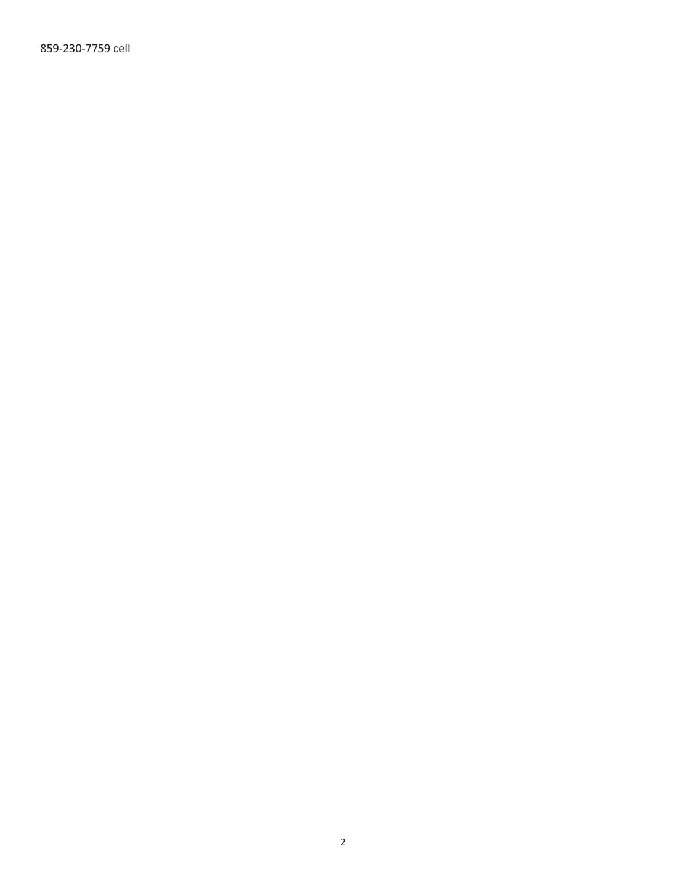859-230-7759 cell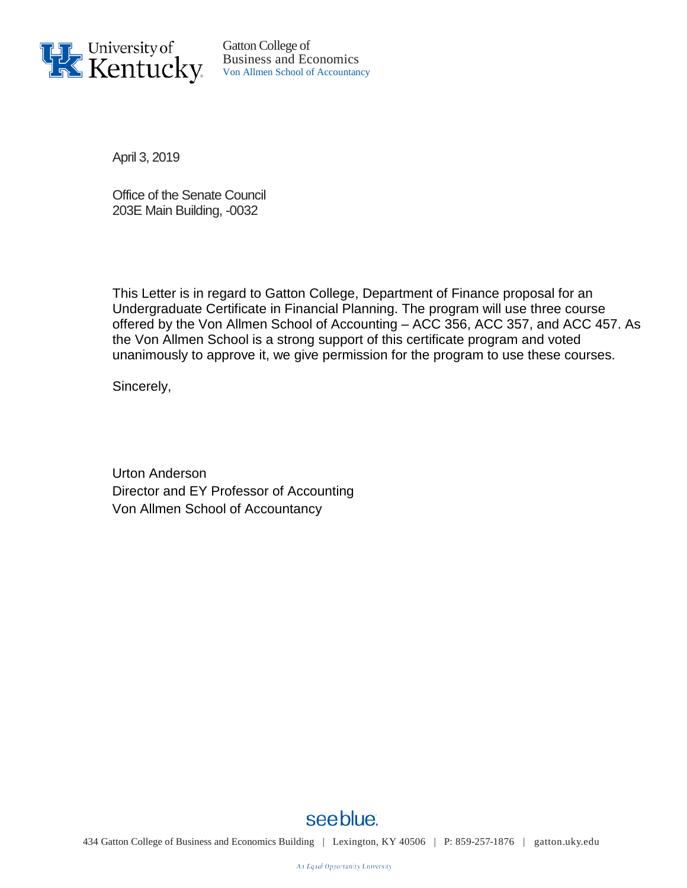

Gatton College of Business and Economics Von Allmen School of Accountancy

April 3, 2019

Office of the Senate Council 203E Main Building, -0032

This Letter is in regard to Gatton College, Department of Finance proposal for an Undergraduate Certificate in Financial Planning. The program will use three course offered by the Von Allmen School of Accounting – ACC 356, ACC 357, and ACC 457. As the Von Allmen School is a strong support of this certificate program and voted unanimously to approve it, we give permission for the program to use these courses.

Sincerely,

Urton Anderson Director and EY Professor of Accounting Von Allmen School of Accountancy



see blue.